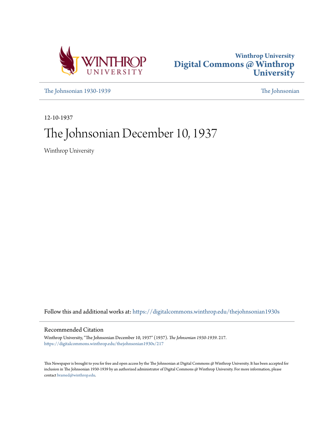



[The Johnsonian 1930-1939](https://digitalcommons.winthrop.edu/thejohnsonian1930s?utm_source=digitalcommons.winthrop.edu%2Fthejohnsonian1930s%2F217&utm_medium=PDF&utm_campaign=PDFCoverPages) [The Johnsonian](https://digitalcommons.winthrop.edu/thejohnsonian_newspaper?utm_source=digitalcommons.winthrop.edu%2Fthejohnsonian1930s%2F217&utm_medium=PDF&utm_campaign=PDFCoverPages)

12-10-1937

# The Johnsonian December 10, 1937

Winthrop University

Follow this and additional works at: [https://digitalcommons.winthrop.edu/thejohnsonian1930s](https://digitalcommons.winthrop.edu/thejohnsonian1930s?utm_source=digitalcommons.winthrop.edu%2Fthejohnsonian1930s%2F217&utm_medium=PDF&utm_campaign=PDFCoverPages)

## Recommended Citation

Winthrop University, "The Johnsonian December 10, 1937" (1937). *The Johnsonian 1930-1939*. 217. [https://digitalcommons.winthrop.edu/thejohnsonian1930s/217](https://digitalcommons.winthrop.edu/thejohnsonian1930s/217?utm_source=digitalcommons.winthrop.edu%2Fthejohnsonian1930s%2F217&utm_medium=PDF&utm_campaign=PDFCoverPages)

This Newspaper is brought to you for free and open access by the The Johnsonian at Digital Commons @ Winthrop University. It has been accepted for inclusion in The Johnsonian 1930-1939 by an authorized administrator of Digital Commons @ Winthrop University. For more information, please contact [bramed@winthrop.edu](mailto:bramed@winthrop.edu).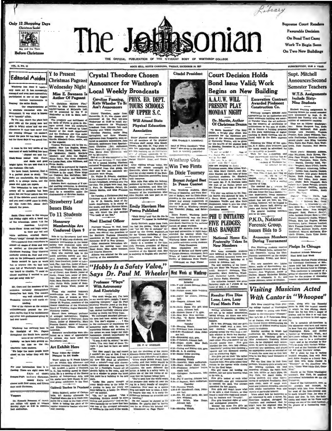

forenaio tourn the entire South. Our congr everyone connected with the

sent. It was what is known

tournament. It was what is known will be presented by the Y on the same<br>of the same will be a more than a "more than the space is the same of<br> $\mathcal{D}$ . In this space look, the space book will be spacely and full<br>this scal

are comfortable, the lighting choir, Lily Bailes; and Ba

Honorary

Memberships Are

Conferred Upon 9

good, it is always warm, and the Hettle Superce and quiet are cuparb.  $\begin{tabular}{ll} \hline \multicolumn{3}{c}{\textbf{...}} \multicolumn{3}{c}{\textbf{...}} \multicolumn{3}{c}{\textbf{...}} \multicolumn{3}{c}{\textbf{...}} \multicolumn{3}{c}{\textbf{...}} \multicolumn{3}{c}{\textbf{...}} \multicolumn{3}{c}{\textbf{...}} \multicolumn{3}{c}{\textbf{...}} \multicolumn{3}{c}{\textbf{...}} \multicolumn{3}{c}{\textbf{...}} \multicolumn{3}{c}{\textbf{...}} \multicolumn{3}{c}{\textbf{...}} \multicolumn{3}{c}{\textbf{...}} \multicolumn{3}{c}{\textbf{...$ eace and<br>The tem use performance. Costuming will be<br>done by a committee under the<br>chairmanship of Katrina Pardue. out. If the debt

and you need a good place to study. Strawberry Leaf but, please don't usu rous<br>mo the pe **Issues Bids** To 11 Students

ta Claus came to the camp the cause of the campus<br>it Friday night with a band and<br>the trimmings. About 7:15 the<br>American Legion Class drum and bugle cot

when these most and higher appear of the same of the same of the same of the same of the same of the same of the same of the same of the same of the same of the same of the same of the same of the same of the same of the

conserved used certainty were to conserve the conserved by the<br>one imaging the fit has a server in Homonary members one conference<br>throughout the South have carried gared as a token of approximation<br>throughout carried to nonorary memography<br>Ierred as a token of app<br>to persons who have a<br>Strawberry Leaf. diy we have been getting ex-

Water Colors fly Litales<br>Displayes' In Art Studie

tra time on the two<br>radio stations. **Art Exhibit Here** We hope the more people to of us, the better they will like

your information time is a

Society of Independent Arts, and<br>his works have been shown in sev-<br>eral group exhibitions in the East, tuenty days of a until final exams, and fiftee ays until Christmas.

Mora

of David ollege will speak at vest<br>uy might at 6:30 in John

**Author Of Pageant** "A Christmas Mystery Play,"<br>written by Miss Exther Swenson,<br>written bostom of McLaurin hall,

Ass't Announcers written by Miss Esther St<br>teacher-hostess of McLaurk<br>will be presented by the<br>Wednesday at 6:30 in Mair

**CASE CALIBRO-MEGA CONTROL**<br>CONSTANT TO CONTROL CONTROL CONTROL CONTROL WAS USED TO WORK THE WORK CONTROL CONTROL CONTROL CONTROL CONTROL CONTROL CONTROL CONTROL CONTROL CONTROL CONTROL CONTROL CONTROL CONTROL CONTROL CONT

eros, junior freenalite. will consider the all and monetaristic.<br>Cut of the all anno competed in the<br>time is very said Monday, 71 was chosen for a second hearing. Nineteen<br>contested Wednesday, and out of the<br>six selected f

Dr. Walter B. Roberts, chairman of the commution of Win-<br>throp's broadcasts, presided over the try-outs. The judges were Prof. Ray<br>for the try-outs. The judges were Prof. Ray<br>A. Purr, Dr. Hampton Jarrell, Dr. Donnis Martin Rebecca Barr, chairman of Y spe

ommittee, is di<br>lee. Costuming Mima.<br>On Tuesday, a Christmas play and

On Tuesday, a Christman play and Contributed by a Christman mutch with the presented.<br>
Dr. W .B. Roberts, bead of the music department, is in charge of<br>
the music, and Miss Frorence Minus,<br>
assistant professor of spokes Th

**Noel Elected Officer** 

"Hobby Is a Safety Valve," Says Dr. Paul M. Wheeler

**Association** Senior physical adu ation maj

**TOURS SCHOOLS** 

**Will Attend State** 

**Physical Education** 

OF UPPER S.C.

senior payment and all members of the physic<br>cluention staff except Miss Mau<br>Causey, who with Dr. Vogt plans<br>inin her collesque: this afternoo shows of Spartanharg, Governmite,

 $\begin{array}{lllllll} \texttt{A}_{\texttt{MIE}} & \texttt{int}_{\texttt{MIE}} & \texttt{action} & \texttt{total} & \texttt{total} \\ \texttt{A}_{\texttt{MIE}} & \texttt{out}_{\texttt{MIE}} & \texttt{on} & \texttt{control} & \texttt{in} \end{array} \begin{array}{lllllllllllllllllllll} \texttt{WID} & \textbf{Two First} \end{array}$ streen when the state of the state of the state of the state of the state Physical Education association being

tent use su-sur reason or the new setting Physical Education association being<br>held tomorrow.<br>Miss Julia Poss edits the build-time<br>published by the State Physical Education association, and Miss Lil-<br>lian Wellner is servin

urer of the orga Alice H ten will take part on to norrow's program

## RE Emily Harrison Has **Poems Published**

(Continued on Page Three)

Next Week at Winthrop DECEMBER 11-11  $\begin{array}{c} \text{Satwday} \\ 2:00 - Y \text{ and classes decay} \\ \text{on ball.} \\ 7:20 - \text{Picture above, Adam} \end{array}$ show, Main b Sunday<br>2:00-Coffee for seniors, Joh 6:30-Vespera, Johnson hall. 130-Venpera, Johnson Mill, 1974<br>
12:30-Deins Sigman Chi pith al<br>
12:30-Deins, Johnson hall,<br>
160-Modern Dance c' b, gym.<br>
130-Bras Beins Esta metting,<br>
1330-Bras Beins Estatus Bambin<br>
Johnson hall,<br>
1330-Bras Beins Sambin<br>

Jonman Hotel<br>Tuesday<br>1:30-Morning Watch<br>6:00-Broadcast from<br>4:00-d:00-Handieraft son hall.<br>4:30-Swinun nuning club, gym

4:30-Swimming calls, gym.<br>5:00-Y Cabinet, Johnson he<br>6:30-Organ music, Miss

: Mein auditorium.<br>610-Juling and Hiking club, gym<br>910-M. A. S. meeting.<br>910-Sender Order mechag.<br>910-Meine Welenday Watel<br>7:39-Mormberg Watel and<br>501-Newlo recital. Music hall.<br>4:39--Freshman Debater' league.<br>4:30--Freshm 4:00-Nusio rechae, march league, hand a strain league, hand a strain league, and the strain league, control and the strain strain and the strain strain and the strain strain and the strain strain strain strain strain strai

ball.

4:00-6:00-Haconeratt cass, Jonn-<br>
son hall.<br>
4:08-Sec. Ed. club party, Mr. and<br>
Mrs. Magginia.



**GEN. CHARLES P. SUMMERALL** end of South Carolina's<br>wint " who spoke to the si

**Winthrop Girls** 

Two Winthrop students. Minimizer of Manning, and Nora Migan of Rodges, wen the Dizte channel for the women a division detailed the theory of the moment division of the moment of the state point of the state point of the st energe.<br>
The play was written by Dr. Don-<br>
The play was written by Mrs. E<br>
1. Terry, Missic, provided by Mrs.<br>
1. Terry, Missic, provided by Man, Str.<br>
Schedungen, helps to give the engineer of the engineer of Rome at the<br> ey held on Winth last Tou rsday, Friday, and

**PHI U INITIATES FIVE PLEDGES:** 

**POR BO COL:** HAS BANQUET

Five home crossmals students condition the condition of the lattice of the condition of the conditional of the original state of the condition of the students of the condition of the condition of the condition of the meth The initiation ba anw Janpe

**PRESENT PLAY** 

**MONDAY NIGHT** 

87. D

to be five easy<br>The puts in a game<br>the suith the -

Dr. Martin, Author<br>Of Christmas Drama

er 13, at 6:30 in

Saturday night at 7 o'clook **Results: Five Dine** 

Lone, Lorn, Laxy **Fowl Meets Fate** 

ally prays for something exciting to live are not free last, the travels all over [ity.<br>
last prays that one givis illevants in link of the same spiritual control and the set of the same spiritual angle sets in the contro

**Announces Second Semester Teachers** 

Excavation Contract **Include Sixty-**Awarded Pied **Nine Students** Construction Co.

nt teaching assignment ing School for ord by Supt. O. M.<br>Tuesday with the axannounced<br>ell last Tue

Lattle

suppropriation for an auditorium and<br>home economics building was assured Tuesday when the act authoris-<br>ing the issueme of certificates of<br>ing the issueme of certificates of<br>indebiedness in ception of cor They are as follows: Einderga TI Santa Rambino" (The Hoy 100 is fittance a building program (12,300). Child, a favulty play which was lettering in Both Caroline of higher program (Child), a favulty play which was lettering in Both Caroline was determi th McDou ell: first a George e Lees Dantzler, Virgin<br>r. Ruth Lloyd Williams, O Urway<br>Prottor, Ruth Lloyu<br>nella DesChamps, Dorothea I<br>second grade: Ann Eing, Li<br>Potta, Rallie Bus Puller, Sara<br>brotek, Elizie Dantzler, Nell

> **Marga** THE AP

Payre Hi

Frances Coines,

Phelps In Chicago

Meet Held Last Week President Shelton Phelps at

mule et

 $\overline{a}$ 

Pro

Margaret Armstrong,<br>Lillian Rast, Juanita Casque<br>Crowder; fifth grade: Eubani<br>- Ruth Adams, Susie An

 $r. 16h$ 

Crace Lott: h

т.

per, Bara

In. Dorts Tyler

cance.<br>
Tellowing the filling of the opin-<br>
len, E. P. Miller, state treasurer, said<br>
the bonds would be advertised for<br>
"Work for the a statefully as possible.<br>
"Work for the a statefully and Int grade: Elisabeth Addison<br>Nicaolaon, Ruth Kirven, Vir<br>Pare Wright, Ann Thompson<br>Aret Thompson, Halen Davis<br>- Ferrell, Dorothy Reid, Vir<br>-ampbell, Mary O'Dell; fourth  $\frac{2h}{1}$ 

יותו של המסור של המסור השל המסור המסור המסור<br>המשפח המסור המסור המסור המסור המסור המסור המסור המסור המסור המסור המסור המסור המסור המסור המסור המסור המסור ה<br>המסור המסור המסור המסור המסור המסור המסור המסור המסור המסור המסור conservatory building has al- dinia 

throp college's \$350,000

The selectron, errors in Le lot. Conce Lillian Rast, Juantia Cenemics.<br>The stillar product that product constant in the product Enhance. However, if<br>there are the selectron of the selectron and a selectron of the selectro

capacity of 1,500.<br>The contract for se ecor the home e<br>vill also ho

heen let. The<br>Ill be located ! th Joynes hall, di ctly op-Sara Belle Bru

and facing Kinard hall. The generi ral building contr

## P.K.D., National Forensic Group, **Issues Bids to 5**

**Announce Members During Tournament** 

**National Home Ec.**<br>Fraternity Takes In<br>New Members Five Winthrop students received role fraternity, during the Diste Potensic tournam Porensic tournament on the campus

1881 anomony, where  $\frac{1}{2}$  is resident shorter and the Circular Scheme and The mean means are: Looking the Circular Contenents of 180 and the Margaret Growts, senior of Davis in the Stevens hotel in Circular in the lin

**Visiting Musician Acted** 

# With Cantor in "Whoopee"

Re's done everything from play-jwhen, along with the financial comes<br>ing college foothall at Washington practe in 1973, the musical comes<br>distorted college is acting with Finder [] which he was playing. cloped<br>hanter in th Bunday afterments, on easy and college football at Washington | parts in 1973, the music contains and the parts of the music of the state of the state of the base publishes of the best publishes of the best publishes of t

and to attempt<br>the might. The minimum the same way as the years in the star in the Markov<br>Attack of the Holy Land the same of the minimum counter of the person on<br>an electron of the star of the star of the star of the sta



 $"$  be con  $we$   $AD$   $OE$ 

species. The three points in the according to fact the chairman of the recent point. It couldn't me you at first, if we are is isolated in the special distinguished in the special distinguished in the special distinguishe

As Society of Independent Arts. And 1990 is a building in his new comparison between how the weaker accounts of the second Man and the second Man and the second Man and the second Man and the second Man and the second Man

mysterious with its row<br>threat and switch the corner we soon forget our<br>lusionment. Almost immediate<br>returned, with explanations.<br>"It was, it still is, onloca," be<br>leased. "I'm very fond of them<br>night I just had to have an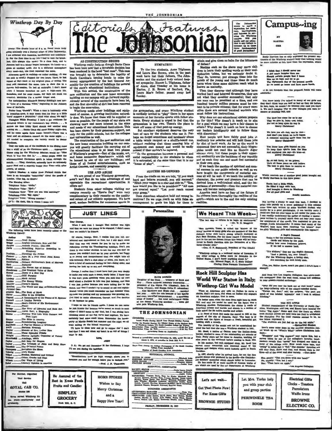Winthrop Day By Day



I am affilieted with insemine, incidentally and indefinite-<br>by. For the first time in my life I had to walt for break-<br>fast. Cit's abways vice versa.) To a class then, and to<br>Johnson hall to a Model league harangue. To lun every meal-but, the food remained the same.  $\overline{\mathbf{A}}$ noon apent in walking-or rather striding. (It was

Ainermora menti in welling-or rather aristic and the condition of the steps<br>and to strail.) Napped for two hours. Then, to hast repart of day-back at my original place of esting. The<br>food still remained the same. Late to s sehow, and for some reason, my days are much too<br>attul. Methinks Tm a rather frusal soul.

Elisabeth Sanxay Holding's new movthe of a Ca ei "Eo isme of McCall's.

sane of securities.<br>
Faiter from Trench": When a man is habitually cross<br>
is breakfast-lime, it may mean that his liver is a little<br>
hard' suggests a physician." (And what about his egg?)<br>
Thoughts While Freezing: I have a dictating letters to my roommate's boy friends. . . . It strikes me that Libby Byrd should feel another sons

of on. . . Santa Claus did come Friday night-but will be come again three weeks hence?-There was a<br>band and an orchestra concert on the same night....<br>All needed to complete the variety would be Benny Only one table out of the multitude in the dining ro

whiff of ye ole Christmas spirit. . . . Appropriate among for the Winthrop debaters would be: "M Work II You Can Oet It."... Some propis think the stormentioned Christmas spirit is taken through the mouth... They, therefore, naturally have an extremely heaven may not reach that a superhip happy New Year-with after ta, of course.

lexi illusion: A visitor from Finland thinks<br>is an intangible "something" about the pest  $\alpha$ on. (The fag, no doubt.)

News About Books

Prophecy<br>Jureling the Puture<br>Agen 26, a Piay About John Eeste

Eakimo<br>.Richard Halliburton's Book of Marvels

..Runaway<br>...The Ferois Age of Science<br>...The Fractical Value of Birds<br>...Dawn of a New Day<br>...OOO Porestry<br>...Mark Antony<br>...The Eneroy Within

The World and Man as fle

-<br>-...Fine Book of Mirals<br>....Mins is the Kingdom<br>....A London Reverle<br>....A London Reverle<br>....Man's Control of Ela Tavironment

Forms<br>
The Story of Libraries and Book Col.<br>
Anron Burr; a Biography.<br>
Hunting Wild Life With Camera and<br>
Poot Light

....Unuary West Links Control and Michael Control and Michael Control and Michael Control and Michael Control and Michael Control and Michael Control and Michael Control and Michael Control and Michael Control and Michael

Be Assured of the

Best in Xmas Foods

Fruits and Candien

**SIMPLEX** 

**GROCERY** 

Rock Rill, S. G.

sar's h

 $d$ . Di

 $\mathbf{r}$  as

**ROYAL CAB CO.** 

Phone 186

re served W2

.com.co. (The fog, no Gours.)<br>The Manulug After:<br>The Manulug After: "Hello."<br>Thiphone Volce: "Hello."<br>Thiphone Volce: "How are you this morning?"<br>Thiephone-Volce: "Sill right." mg number." (p. S.) Oh deah, this is where I came in!)

非爱人的

The following h<br>Winthrop library:

Ku

 $T_{\rm BH}$ 

AS CONSTRUCTION BEGINS

Editorials

AS CONSTRUCTION BEGINS<br>
Winthrop resulty feels as though Santa Claus<br>
has been here now that a favoriable decision has<br>
been reddered in the bond "test case". This case<br>
was brought up to determine the legality of<br>
South

ing on our campus will go forward rapidly. Already several of the contracts have been where must an<br>overline the excavation.<br>Winthrop needs of

to begin the excavation.<br>Winthrop needs other buildings and equipment of course. A growing inatitution naturally does. We know that these will be aupplied as goon as possible, for the people of our state are<br>showing more and more interest in the aims<br>and needs of our educational institutions. This and never of our equational measurements apport, not<br>only for the public schools, but for the colleges<br>and universities as well.<br>The construction of the new anditorium and

## **USE AND ABUSE**

We are proud of our Winkrop gymnasium,<br>aren't we? But do we take advantage of and<br>appreciata the recreational concentration

Students from other colleges visiting out

Statement were voured by the case of the complimentary in their remarks on the quality and extent of our athletic equipment. We have good, modern facilities for numerous sports in

**JUST LINES** 

the recreational opportunities

## **GVMPATRY!**

THE JOHNSONIAN

e Jemsoni

Features

Solution and Laura Miss Contracts Almo Tilghman<br>and Laura Miss Brown, who, in the past<br>week have lost their fatthers, The John-<br>scenia and the student body extend deep-<br>est sympathy. Horsee L. Tilghman, father<br>of Anne, dee

the gymnasium, and every Winthrop student<br>is cordially invited to "play" there in her spare<br>moments at her tavorite sports with fellow stu-<br>denta. Every student is urged to feel that the<br>gymnasium is her own. There's the p

gymnasum is ner own. There is no work of some place to<br>work of some of that peak-up energy.<br>But excellent equipment deserves the very<br>best of care by the students who use it. Per-<br>haps we forget sometimes and carelessly ab says a subset request or a shuffle-board cue, without realizing that these seeming hits of equipment cost money and would be 'sadiy missed if they couldn't be replaced.

So the gymnasium becomes a personal and<br>social responsibility to the students to whom<br>it is entrusted, at the same time that it is our of play".

### **SUCCESS RE-UEFINED**

From the cradle on we are told, "If you work hard and behave yourself, you will succeed." "Hitch your way<br>on to a star and ride on." "Son, will succeed." The brown would you like to be president ?" "All men are created eq your grasp."

Does American education hold out wrong incentives? Do we urge youth on with false encouragement to goals too high for them to Personalites

ain and give them no haim for the bitterness of defeat?

our mead fairmeach<br>and fairmeach how-<br>ering the Windhrey<br>campea. Will year<br>kindly call our attention<br>to any failure<br>consume .

Maxims such as the above may move chil-Maxima such as the above may move can<br>be the mode multiple with the same of their multiplection debate, but we seriously doubt it.<br>They do, however, put strange ideas into the minds of the young and these ideas into the<br>ha

known as maturity.<br>Then they discover that although they have<br>worked hard and behaved thromelves, they are<br>not what they consider successful; that only<br>one man can be president at a time, and one<br>hundred twenty million par

must course and maximum and maximum and maximum and for this villy doesn't it teach us to alimit of the set of the state of the actual state of the state of the state of our leading with the our leading with the our leadin

with discretion? <br>
Most people will have fairly good jobs at  $\text{Most}$  people will have failing both<br>
mediumly low salaries and will hold these jobs<br>
by dint of hard work, As far as the world is<br>
concerned they are not auc

and as such they can and must feel successful<br>in their own eyes.<br>If we teach the maxims of spiritual and men-<br>tal success in our public schools as well as we would suc-<br>have taught the components of material suc-<br>cess all cess will become unimportant.

America need have no fear of the future if<br>its citizens learn thoroughly the realities of the spirit-which are in the end the only existing

We Heard This Week-The best way to reform is to begin by on

 $\cdot$   $\frac{1}{2}$ 

Thus Antonio, Turns, is couled the Mother of the Antonio Antonio Antonio Antonio Antonio analy girls who are unstanded at Antonio Antonio Antonio Barrow and Herner and Herner and Herner and Herner and Herner and Herner an

**Rock Hill Sculptor Has** 

World War Statue in Italy;

**Winthrop Girl Was Model** 

V matemat Opt Nata a Railan de Caracterista (1974).<br>
The an Anteriora city acts an Railan de Carre a statements couply<br> $\alpha$ , that is neve, that when an Railan div empress an<br> $R$  and there are when the matematic<br>state of t

The identity of the model can not be assestained bud the fact that she was a Winkhrop student in 1921.

youl the fact that she was a Winlimop singlets in 1821.<br>
After Bassi, a mailwe of Oamma may the lead in Figure .<br>
here, studied in some of the outstanding art schools of<br>
Haly, Peraw ago he cause to America, working for t

Carosma.<br>The 1997, shortly after be arrived here, he cut the first<br>granite status ever produced in the flouth—the Confeder-<br>ate Goldiers' memorial which stands today in Lancaster.<br>He has made 25 or more models of framework

ad for

throp college is a national outter of foresator. If the college is define more for forenates in the States, I don't know anything about it."<br>--Mr. Edward Paget, N. C. State College<br>--Mr. Edward Paget, N. C. State College<br>-

mus of the Winthrop students of the Winthrop students

**Emily** li

I think that I should never see A girl much happier than me fiberal certain people that I knew this up on high and ist us go<br> Hine the population of the ground  $\sim$  Hine separated day of the present is we cent<br>if go hence an Smeth

rison has so ably expr

Campus-ing

**MARTHA**  $\sim$ 

(I do not thinketh that the proposed funth will

u know lalely I've talked to many of our girls of<br>don't think boys are half as bad as they did before, hoys, we couldn't do without you—and you know<br>is can't inagine why we swer thought you were<br>in or absording buil, and Liney d<br>In fact<br>it. We

o time has come for us to set<br>at we give in, boye,—yet, tod<br>r not so lang upon its way is<br>Merry Christmas!

We love you all-but, one by one-<br>And don't you think we have begun<br>A romance meaning more than fun for

now how girls depend on you<br>sep their spirits from the blue<br>anything you say—it's true—at<br>Merry Christman!

So do not tarry, or we a Thru all these years we still be<br>The best to give than to recel-

Which reminds me of another good point brought<br>by Emily Harrison in this little poses:

Santa had a little sieigh<br>He filled it high with to  $\frac{1}{2}$  to  $\frac{1}{2}$ And brought it down

**Brandty** a

Not having a stamp to eand this best, I decided to print this part<br>of the mode of the stamp of the spectrum scalar system as some time age, written by some Wolf<br>best stationts who seems time age, written by some Wolford s

 $\label{eq:1} \begin{array}{c} \text{A. Soph's Demand}\\ \text{Twloc a day the portman leaves}\\ \text{Cards and letters by the pu}\\ \text{Telling how some frudinang gr}\\ \text{If we fall to answer back} \end{array}$ 

 $\begin{tabular}{l} \bf ``N's\;sqiclerm, ``they\; any the\;Boph's\; des ``And a\;pleton, too, desr\;fringd'':\\ \bf For\; the\;Whatree\;Bophs, a\;heving\; clear\\ \bf As\;seatzking\; for\;each\;lowy\; more. \end{tabular}$ 

(Tea, yes, Helitor Jones, aren't you glad I didn't

i from The Los Angales Collegian, that ultra<br>ewspaper from the west coast, comes this a<br>or absent-runded anthology:

"Why did you tear the back out of that book?" asked<br>the long-::<br>differing wife of the absent-minded doctor. "Betuse ne, den." said the surgeon, "the part you<br>phother" said if took it without thinking."

THE EIG APPLE TO APPLE of North Out-<br>collection of the University of North Out-<br>alone, Washington and Los, such Encor, hence the policy and Los and Encor and the<br>independent of the loss of the loss of the set of the set o

Here's some some dope on the musical situation of the second situation of What's What's before Christ

ier Bruist up on "What's What" before Christmas holistics of the system and "250 gappers" and "250 gappers" may regret this, but a mostle means and mostle and mostle in the dealing most of the dealing most in the dealing

She, gently: "Gan you drive with one he<br>Be, eagerly: "You het I can."<br>She: "Then have an apple."

-Los Angeles Collegian



University, when I mid that I thought that mother was and that we were too young to be engaged, I didn't a that we couldn't be friends. Tile<br>"Droll Skories<br>"Anglish Literature, New and Old<br>"Anatole Prance; 1844–1886<br>"Rebuilding Palestine According to<br>Prophecy

appreciate<br>offers us?

Of course, George, dear, I realise that you felt em-<br>bittered and disillusioned at first, but I still don't think<br>that that was any reason for you to try to make me that load was any vessen for you to up you make mean the radiation of the state relation is the radiation of the state relation of the radiation of course you contain the radiation of the radiation of the radiation of the this seriously. She's a club sister of mine, you know a kind of maternal feeling for her-being class having her look up to me, and everyth

George, I realize that I must have hurt you very desply to make you write such a mean, matty letter. I know that it was hurt price speaking when you said that all thet stuff about a Purpose in Life was just baloney, and t erness survey to a magnered and antic wave given unknowly, and the<br>E vers just junklens because your were taking flus to the<br>dance, and that I needs? typ to sound so old and sophia-<br>tiented 'cause you could remember me has my now was posing and my permanent was grow<br>The tried to make allowances, Gerege, and Pre to let bygones he gone.

If more we can be friends again. I guess we can never<br>be just friends the because we've meant so much to each<br>then-I distri mean to any that, but I was follow-I distributing have a the state study between<br>thinking about al certainly had some swell times. Remember the house-<br>party at Myrtle Beach last summer and the night we all<br>went sailing on the inland waterway?

I'll have to close now and go to supper the' I don't

### $n =$

aber 31 for Christmas. I hope P. S.: We get out Dece I'll see you during the holidays

ust go high enough above you to<br>rememb below you to include you." w you and far an

**HOME STORES** 

Wishes to Say

Merry Christmas

and a

Happy New Year!

EUTTORIAL ASSISTANTS SOCIETY EDITOR Analo I

**BUSINESS ASSISTANTS** 

**EATE HARDIN**<br>se Dean . . . treasure<br>national honorary Daughter of the D er of Book a  $Ker...T$ 

or of the Dean . . . treasurer or common<br>Three national honorary fraternities . . .<br>t of Ela Sigma Phi (classical), Beta Pi president<br>Theta (F) president of Eta Rigma Fhi (classical), Beta Fryschien<br>The Catalogue Phi (classical), and Kappa Delta Pi (columbian), and Kappa Delta Pi (columbian),<br>and the result of the best of the president state of even, until the re

## **THE JOHNSONIAN**

of Your Rouge Holder<br>of Your Rouge Holder<br>of the Station Reverse College for Voters<br>and Coroller College for Voters<br>and Coroller Party Tant 

Read First Ameng the College Herespapes of the South<br>College Front Americans<br>Hoteler of South Corolles Front Association

**EDITORIAL COUNCIL** 

**SDITOR DI CHIEF<br>BUBINESS MANAGER \_<br>NEWS EDITOR<br>FRATURE ENTOR** 

Sintract (Section 1997), Read and Science of Science 1998), Since 1998, Since 1998, Since 1998, Since 1999, Since 1999, Since 1999, Since 1999, Since 1999, Since 1999, Since 1999, Since 1999, Since 1999, Since 1999, Since

FRIDAY, DECEMBER 38, 1997

red to succeed-shan matter Movember 21, 1000, under the dat of Morch 4, 1070, et postallen in Bosh 2031, S. G.

a Press Antonio

hoth Byed<br>valo Leark<br>ideo, Chas<br>itle, Barni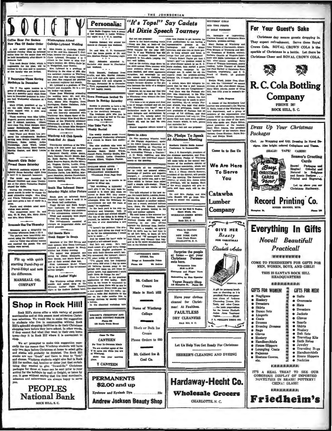Personalia:

Mias Sadie Goerans took a st

night to a P. T. A. m

Estate of the stead the Clemeon this weekend.

THE JOHNSONIAN

At Dixie Speech Tourney



IN DIXIE TOURNEY

ers, harangue or in<br>Clairene Ramsey of Orlal<br>Teachers, problem-solvin improvising<br>laboma Stat



Coffee Hour For Seniors | Winthropians Attend New Plan Of Senior Order Gulledge-Lybrand Wedding

n and Mary Loui

**Bancroft Cirls Enjoy** Formal Dance Saturday

Bancroft residents enjoyed a<br>ightful dance Saturday night<br>until 11 in Bancroft basemen The music of an executive casement.<br>The music was furnished by<br>Eleanor Cauthen and Amne Thompson at the piano. Catherine Hughes<br>played the violin.

peares the violin.<br>
During the evening there was a<br>
grand march in order to choose the<br>
most attractive couple. Ann King<br>
and Frieda Tokunaga were chose<br>
and were given a box of candy as a<br>
prise. most attractive couple. Ann Kung<br>and Frieda Tokumans were chosen<br>and were given a box of candy as a<br>prise.<br>Funch and chicken salad aand-

chas were served.  $\overline{ }$ 

he chaperones were: Dr. and W. R. Fort, Mrs. Mary Jones.

## cale Has Tea Thursday

male gave a delightful test and started and the park.<br>In park.<br>It were beautifully decounts and the christmas motif. Jon Le Vi ley was official host ad the guests. Tea an

**ne Weire served** 

Fill up with quick tarting Purol-Pep or Purol-Ethyl and note the difference. MARSHALL OD. **COMPANY** 

# **Shop in Rock Hill!**

Hock Hill's stores offer a wide variety of general mechanism mechanism and at this season most attractive Christman as selections. We would like to make the suggestion to students without Rock Hill supply a substitute wit

We are prompted to make this suggestion espectively for the reason that Winthrop students will have only two days before Christman at home to select gifts and stocks will probably be depleted. The Rock Hill state at other Hill for mother, dad, brother or sister just that certain thing they wanted to give "So-and-So." Christman packages for those at home can be sent prior to your arrival for the holidays by mail or freight, or taken by you. It goes without saying that the local merchants and saleswomen are always happy to serve

**PEOPLES National Bank** ROCK HILL, S. C.

**Andrew Jackson Beauty Shop** 

## For Your Guest's Sake

Christmas day means guests dropping in. They expect refreshment. Serve them Royal Crown Cola. ROYAL CROWN COLA is the sparkle of Christmas in a bottle. Let there be Christmas Cheer and ROYAL CROWN COLA.

森